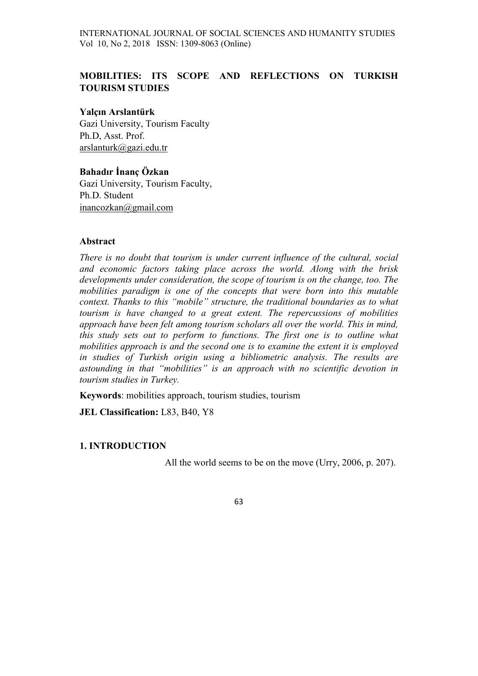INTERNATIONAL JOURNAL OF SOCIAL SCIENCES AND HUMANITY STUDIES Vol 10, No 2, 2018 ISSN: 1309-8063 (Online)

# MOBILITIES: ITS SCOPE AND REFLECTIONS ON TURKISH TOURISM STUDIES

#### Yalçın Arslantürk

Gazi University, Tourism Faculty Ph.D, Asst. Prof. arslanturk@gazi.edu.tr

# Bahadır İnanç Özkan

Gazi University, Tourism Faculty, Ph.D. Student inancozkan@gmail.com

#### Abstract

There is no doubt that tourism is under current influence of the cultural, social and economic factors taking place across the world. Along with the brisk developments under consideration, the scope of tourism is on the change, too. The mobilities paradigm is one of the concepts that were born into this mutable context. Thanks to this "mobile" structure, the traditional boundaries as to what tourism is have changed to a great extent. The repercussions of mobilities approach have been felt among tourism scholars all over the world. This in mind, this study sets out to perform to functions. The first one is to outline what mobilities approach is and the second one is to examine the extent it is employed in studies of Turkish origin using a bibliometric analysis. The results are astounding in that "mobilities" is an approach with no scientific devotion in tourism studies in Turkey.

Keywords: mobilities approach, tourism studies, tourism

JEL Classification: L83, B40, Y8

#### 1. INTRODUCTION

All the world seems to be on the move (Urry, 2006, p. 207).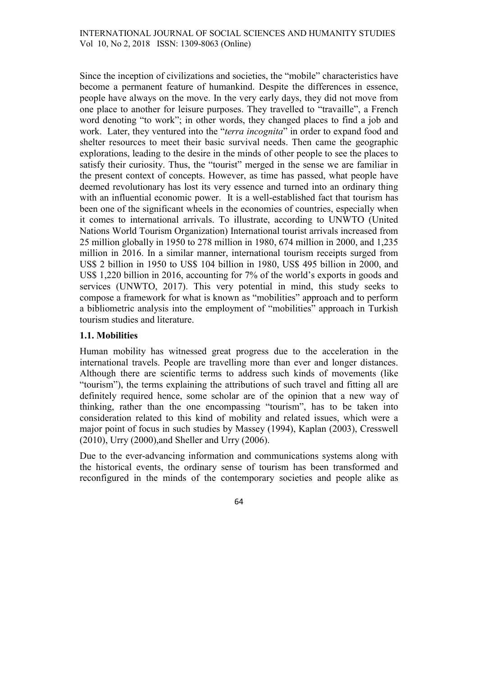Since the inception of civilizations and societies, the "mobile" characteristics have become a permanent feature of humankind. Despite the differences in essence, people have always on the move. In the very early days, they did not move from one place to another for leisure purposes. They travelled to "travaille", a French word denoting "to work"; in other words, they changed places to find a job and work. Later, they ventured into the "*terra incognita*" in order to expand food and shelter resources to meet their basic survival needs. Then came the geographic explorations, leading to the desire in the minds of other people to see the places to satisfy their curiosity. Thus, the "tourist" merged in the sense we are familiar in the present context of concepts. However, as time has passed, what people have deemed revolutionary has lost its very essence and turned into an ordinary thing with an influential economic power. It is a well-established fact that tourism has been one of the significant wheels in the economies of countries, especially when it comes to international arrivals. To illustrate, according to UNWTO (United Nations World Tourism Organization) International tourist arrivals increased from 25 million globally in 1950 to 278 million in 1980, 674 million in 2000, and 1,235 million in 2016. In a similar manner, international tourism receipts surged from US\$ 2 billion in 1950 to US\$ 104 billion in 1980, US\$ 495 billion in 2000, and US\$ 1,220 billion in 2016, accounting for 7% of the world's exports in goods and services (UNWTO, 2017). This very potential in mind, this study seeks to compose a framework for what is known as "mobilities" approach and to perform a bibliometric analysis into the employment of "mobilities" approach in Turkish tourism studies and literature.

## 1.1. Mobilities

Human mobility has witnessed great progress due to the acceleration in the international travels. People are travelling more than ever and longer distances. Although there are scientific terms to address such kinds of movements (like "tourism"), the terms explaining the attributions of such travel and fitting all are definitely required hence, some scholar are of the opinion that a new way of thinking, rather than the one encompassing "tourism", has to be taken into consideration related to this kind of mobility and related issues, which were a major point of focus in such studies by Massey (1994), Kaplan (2003), Cresswell (2010), Urry (2000),and Sheller and Urry (2006).

Due to the ever-advancing information and communications systems along with the historical events, the ordinary sense of tourism has been transformed and reconfigured in the minds of the contemporary societies and people alike as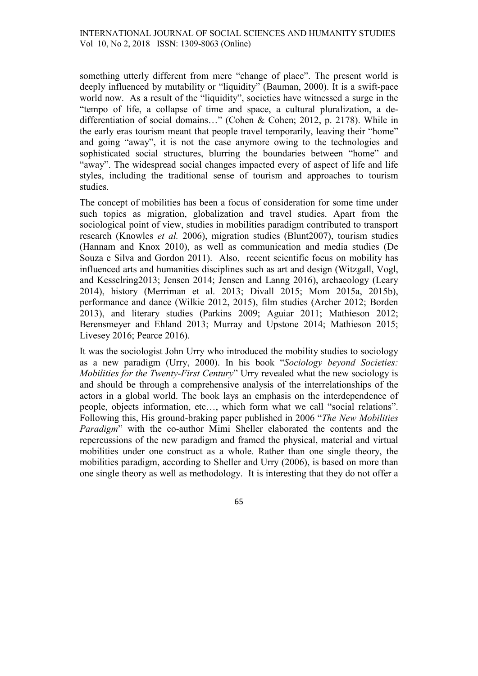something utterly different from mere "change of place". The present world is deeply influenced by mutability or "liquidity" (Bauman, 2000). It is a swift-pace world now. As a result of the "liquidity", societies have witnessed a surge in the "tempo of life, a collapse of time and space, a cultural pluralization, a dedifferentiation of social domains…" (Cohen & Cohen; 2012, p. 2178). While in the early eras tourism meant that people travel temporarily, leaving their "home" and going "away", it is not the case anymore owing to the technologies and sophisticated social structures, blurring the boundaries between "home" and "away". The widespread social changes impacted every of aspect of life and life styles, including the traditional sense of tourism and approaches to tourism studies.

The concept of mobilities has been a focus of consideration for some time under such topics as migration, globalization and travel studies. Apart from the sociological point of view, studies in mobilities paradigm contributed to transport research (Knowles et al. 2006), migration studies (Blunt2007), tourism studies (Hannam and Knox 2010), as well as communication and media studies (De Souza e Silva and Gordon 2011). Also, recent scientific focus on mobility has influenced arts and humanities disciplines such as art and design (Witzgall, Vogl, and Kesselring2013; Jensen 2014; Jensen and Lanng 2016), archaeology (Leary 2014), history (Merriman et al. 2013; Divall 2015; Mom 2015a, 2015b), performance and dance (Wilkie 2012, 2015), film studies (Archer 2012; Borden 2013), and literary studies (Parkins 2009; Aguiar 2011; Mathieson 2012; Berensmeyer and Ehland 2013; Murray and Upstone 2014; Mathieson 2015; Livesey 2016; Pearce 2016).

It was the sociologist John Urry who introduced the mobility studies to sociology as a new paradigm (Urry, 2000). In his book "Sociology beyond Societies: Mobilities for the Twenty-First Century" Urry revealed what the new sociology is and should be through a comprehensive analysis of the interrelationships of the actors in a global world. The book lays an emphasis on the interdependence of people, objects information, etc…, which form what we call "social relations". Following this, His ground-braking paper published in 2006 "The New Mobilities Paradigm" with the co-author Mimi Sheller elaborated the contents and the repercussions of the new paradigm and framed the physical, material and virtual mobilities under one construct as a whole. Rather than one single theory, the mobilities paradigm, according to Sheller and Urry (2006), is based on more than one single theory as well as methodology. It is interesting that they do not offer a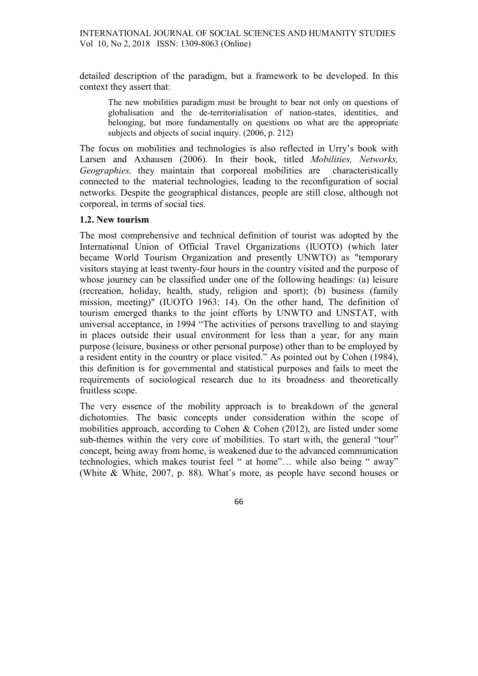detailed description of the paradigm, but a framework to be developed. In this context they assert that:

The new mobilities paradigm must be brought to bear not only on questions of globalisation and the de-territorialisation of nation-states, identities, and belonging, but more fundamentally on questions on what are the appropriate subjects and objects of social inquiry. (2006, p. 212)

The focus on mobilities and technologies is also reflected in Urry's book with Larsen and Axhausen (2006). In their book, titled *Mobilities*, *Networks*, Geographies, they maintain that corporeal mobilities are characteristically connected to the material technologies, leading to the reconfiguration of social networks. Despite the geographical distances, people are still close, although not corporeal, in terms of social ties.

## 1.2. New tourism

The most comprehensive and technical definition of tourist was adopted by the International Union of Official Travel Organizations (IUOTO) (which later became World Tourism Organization and presently UNWTO) as "temporary visitors staying at least twenty-four hours in the country visited and the purpose of whose journey can be classified under one of the following headings: (a) leisure (recreation, holiday, health, study, religion and sport); (b) business (family mission, meeting)" (IUOTO 1963: 14). On the other hand, The definition of tourism emerged thanks to the joint efforts by UNWTO and UNSTAT, with universal acceptance, in 1994 "The activities of persons travelling to and staying in places outside their usual environment for less than a year, for any main purpose (leisure, business or other personal purpose) other than to be employed by a resident entity in the country or place visited." As pointed out by Cohen (1984), this definition is for governmental and statistical purposes and fails to meet the requirements of sociological research due to its broadness and theoretically fruitless scope.

The very essence of the mobility approach is to breakdown of the general dichotomies. The basic concepts under consideration within the scope of mobilities approach, according to Cohen  $&$  Cohen (2012), are listed under some sub-themes within the very core of mobilities. To start with, the general "tour" concept, being away from home, is weakened due to the advanced communication technologies, which makes tourist feel " at home"… while also being " away" (White & White, 2007, p. 88). What's more, as people have second houses or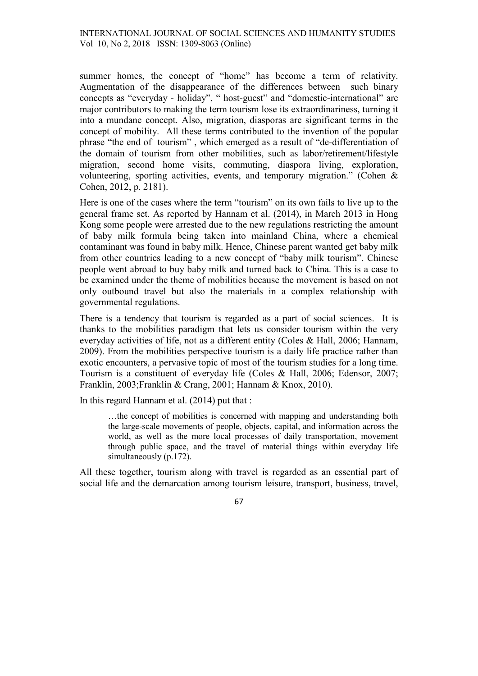summer homes, the concept of "home" has become a term of relativity. Augmentation of the disappearance of the differences between such binary concepts as "everyday - holiday", " host-guest" and "domestic-international" are major contributors to making the term tourism lose its extraordinariness, turning it into a mundane concept. Also, migration, diasporas are significant terms in the concept of mobility. All these terms contributed to the invention of the popular phrase "the end of tourism" , which emerged as a result of "de-differentiation of the domain of tourism from other mobilities, such as labor/retirement/lifestyle migration, second home visits, commuting, diaspora living, exploration, volunteering, sporting activities, events, and temporary migration." (Cohen & Cohen, 2012, p. 2181).

Here is one of the cases where the term "tourism" on its own fails to live up to the general frame set. As reported by Hannam et al. (2014), in March 2013 in Hong Kong some people were arrested due to the new regulations restricting the amount of baby milk formula being taken into mainland China, where a chemical contaminant was found in baby milk. Hence, Chinese parent wanted get baby milk from other countries leading to a new concept of "baby milk tourism". Chinese people went abroad to buy baby milk and turned back to China. This is a case to be examined under the theme of mobilities because the movement is based on not only outbound travel but also the materials in a complex relationship with governmental regulations.

There is a tendency that tourism is regarded as a part of social sciences. It is thanks to the mobilities paradigm that lets us consider tourism within the very everyday activities of life, not as a different entity (Coles & Hall, 2006; Hannam, 2009). From the mobilities perspective tourism is a daily life practice rather than exotic encounters, a pervasive topic of most of the tourism studies for a long time. Tourism is a constituent of everyday life (Coles & Hall, 2006; Edensor, 2007; Franklin, 2003;Franklin & Crang, 2001; Hannam & Knox, 2010).

In this regard Hannam et al. (2014) put that :

…the concept of mobilities is concerned with mapping and understanding both the large-scale movements of people, objects, capital, and information across the world, as well as the more local processes of daily transportation, movement through public space, and the travel of material things within everyday life simultaneously (p.172).

All these together, tourism along with travel is regarded as an essential part of social life and the demarcation among tourism leisure, transport, business, travel,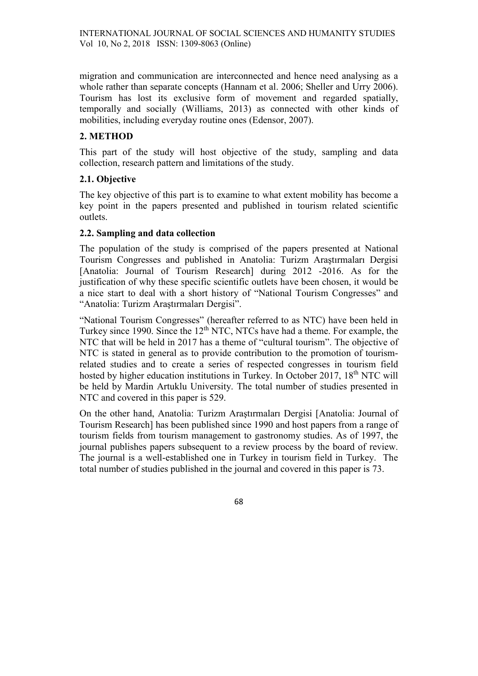migration and communication are interconnected and hence need analysing as a whole rather than separate concepts (Hannam et al. 2006; Sheller and Urry 2006). Tourism has lost its exclusive form of movement and regarded spatially, temporally and socially (Williams, 2013) as connected with other kinds of mobilities, including everyday routine ones (Edensor, 2007).

## 2. METHOD

This part of the study will host objective of the study, sampling and data collection, research pattern and limitations of the study.

## 2.1. Objective

The key objective of this part is to examine to what extent mobility has become a key point in the papers presented and published in tourism related scientific outlets.

## 2.2. Sampling and data collection

The population of the study is comprised of the papers presented at National Tourism Congresses and published in Anatolia: Turizm Araştırmaları Dergisi [Anatolia: Journal of Tourism Research] during 2012 -2016. As for the justification of why these specific scientific outlets have been chosen, it would be a nice start to deal with a short history of "National Tourism Congresses" and "Anatolia: Turizm Araştırmaları Dergisi".

"National Tourism Congresses" (hereafter referred to as NTC) have been held in Turkey since 1990. Since the 12<sup>th</sup> NTC, NTCs have had a theme. For example, the NTC that will be held in 2017 has a theme of "cultural tourism". The objective of NTC is stated in general as to provide contribution to the promotion of tourismrelated studies and to create a series of respected congresses in tourism field hosted by higher education institutions in Turkey. In October 2017, 18<sup>th</sup> NTC will be held by Mardin Artuklu University. The total number of studies presented in NTC and covered in this paper is 529.

On the other hand, Anatolia: Turizm Araştırmaları Dergisi [Anatolia: Journal of Tourism Research] has been published since 1990 and host papers from a range of tourism fields from tourism management to gastronomy studies. As of 1997, the journal publishes papers subsequent to a review process by the board of review. The journal is a well-established one in Turkey in tourism field in Turkey. The total number of studies published in the journal and covered in this paper is 73.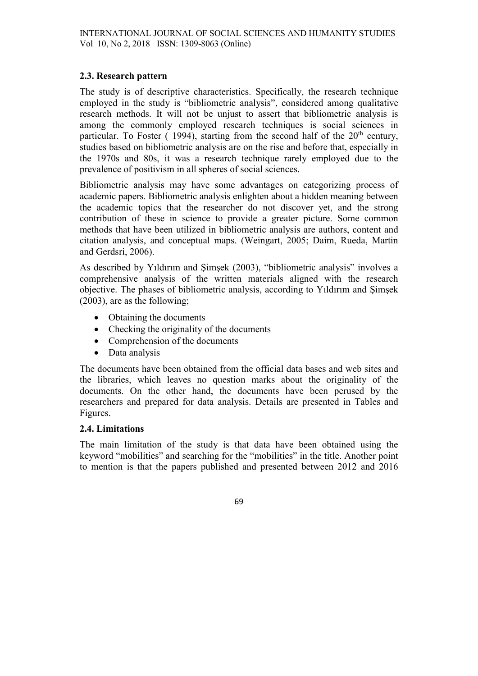## 2.3. Research pattern

The study is of descriptive characteristics. Specifically, the research technique employed in the study is "bibliometric analysis", considered among qualitative research methods. It will not be unjust to assert that bibliometric analysis is among the commonly employed research techniques is social sciences in particular. To Foster ( 1994), starting from the second half of the  $20<sup>th</sup>$  century, studies based on bibliometric analysis are on the rise and before that, especially in the 1970s and 80s, it was a research technique rarely employed due to the prevalence of positivism in all spheres of social sciences.

Bibliometric analysis may have some advantages on categorizing process of academic papers. Bibliometric analysis enlighten about a hidden meaning between the academic topics that the researcher do not discover yet, and the strong contribution of these in science to provide a greater picture. Some common methods that have been utilized in bibliometric analysis are authors, content and citation analysis, and conceptual maps. (Weingart, 2005; Daim, Rueda, Martin and Gerdsri, 2006).

As described by Yıldırım and Şimşek (2003), "bibliometric analysis" involves a comprehensive analysis of the written materials aligned with the research objective. The phases of bibliometric analysis, according to Yıldırım and Şimşek (2003), are as the following;

- Obtaining the documents
- Checking the originality of the documents
- Comprehension of the documents
- Data analysis

The documents have been obtained from the official data bases and web sites and the libraries, which leaves no question marks about the originality of the documents. On the other hand, the documents have been perused by the researchers and prepared for data analysis. Details are presented in Tables and Figures.

## 2.4. Limitations

The main limitation of the study is that data have been obtained using the keyword "mobilities" and searching for the "mobilities" in the title. Another point to mention is that the papers published and presented between 2012 and 2016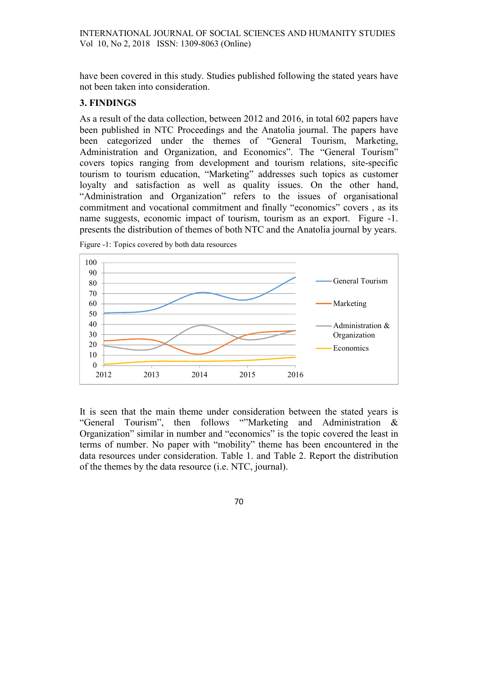have been covered in this study. Studies published following the stated years have not been taken into consideration.

#### 3. FINDINGS

As a result of the data collection, between 2012 and 2016, in total 602 papers have been published in NTC Proceedings and the Anatolia journal. The papers have been categorized under the themes of "General Tourism, Marketing, Administration and Organization, and Economics". The "General Tourism" covers topics ranging from development and tourism relations, site-specific tourism to tourism education, "Marketing" addresses such topics as customer loyalty and satisfaction as well as quality issues. On the other hand, "Administration and Organization" refers to the issues of organisational commitment and vocational commitment and finally "economics" covers , as its name suggests, economic impact of tourism, tourism as an export. Figure -1. presents the distribution of themes of both NTC and the Anatolia journal by years.



Figure -1: Topics covered by both data resources

It is seen that the main theme under consideration between the stated years is "General Tourism", then follows ""Marketing and Administration & Organization" similar in number and "economics" is the topic covered the least in terms of number. No paper with "mobility" theme has been encountered in the data resources under consideration. Table 1. and Table 2. Report the distribution of the themes by the data resource (i.e. NTC, journal).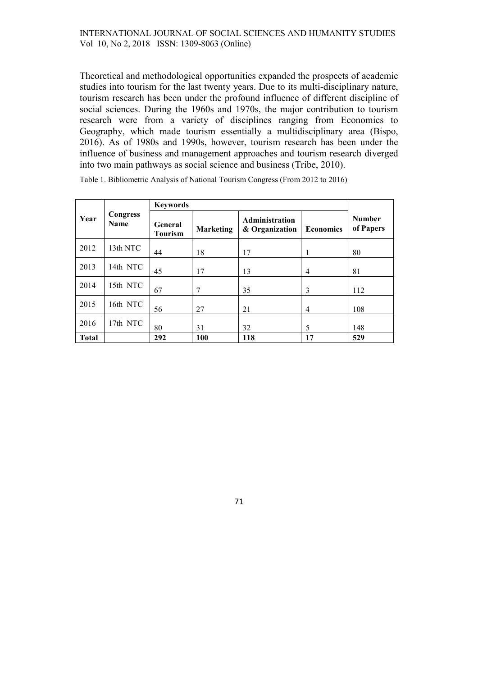Theoretical and methodological opportunities expanded the prospects of academic studies into tourism for the last twenty years. Due to its multi-disciplinary nature, tourism research has been under the profound influence of different discipline of social sciences. During the 1960s and 1970s, the major contribution to tourism research were from a variety of disciplines ranging from Economics to Geography, which made tourism essentially a multidisciplinary area (Bispo, 2016). As of 1980s and 1990s, however, tourism research has been under the influence of business and management approaches and tourism research diverged into two main pathways as social science and business (Tribe, 2010).

| Year         | <b>Congress</b><br><b>Name</b> | <b>Keywords</b>           |           |                                  |                  |                            |
|--------------|--------------------------------|---------------------------|-----------|----------------------------------|------------------|----------------------------|
|              |                                | General<br><b>Tourism</b> | Marketing | Administration<br>& Organization | <b>Economics</b> | <b>Number</b><br>of Papers |
| 2012         | 13th NTC                       | 44                        | 18        | 17                               | 1                | 80                         |
| 2013         | 14th NTC                       | 45                        | 17        | 13                               | $\overline{4}$   | 81                         |
| 2014         | 15th NTC                       | 67                        | 7         | 35                               | 3                | 112                        |
| 2015         | 16th NTC                       | 56                        | 27        | 21                               | $\overline{4}$   | 108                        |
| 2016         | 17th NTC                       | 80                        | 31        | 32                               | 5                | 148                        |
| <b>Total</b> |                                | 292                       | 100       | 118                              | 17               | 529                        |

Table 1. Bibliometric Analysis of National Tourism Congress (From 2012 to 2016)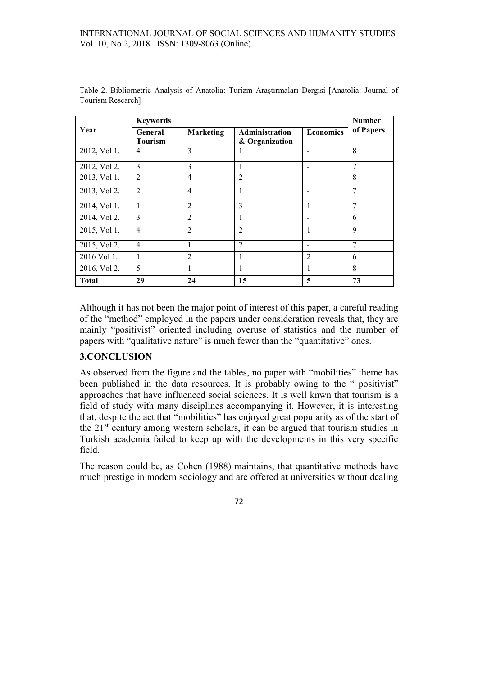|              | <b>Keywords</b>           |                  |                                         |                          |           |  |  |
|--------------|---------------------------|------------------|-----------------------------------------|--------------------------|-----------|--|--|
| Year         | General<br><b>Tourism</b> | <b>Marketing</b> | <b>Administration</b><br>& Organization | <b>Economics</b>         | of Papers |  |  |
| 2012, Vol 1. | $\overline{4}$            | 3                | 1                                       | $\overline{\phantom{a}}$ | 8         |  |  |
| 2012, Vol 2. | 3                         | 3                | 1                                       | $\overline{\phantom{a}}$ | 7         |  |  |
| 2013, Vol 1. | $\overline{2}$            | $\overline{4}$   | $\overline{2}$                          | $\overline{\phantom{0}}$ | 8         |  |  |
| 2013, Vol 2. | 2                         | $\overline{4}$   | 1                                       | $\overline{\phantom{a}}$ | 7         |  |  |
| 2014, Vol 1. | $\mathbf{1}$              | $\overline{2}$   | 3                                       | $\mathbf{1}$             | 7         |  |  |
| 2014, Vol 2. | 3                         | $\overline{2}$   | 1                                       |                          | 6         |  |  |
| 2015, Vol 1. | $\overline{4}$            | $\overline{2}$   | $\overline{2}$                          | 1                        | 9         |  |  |
| 2015, Vol 2. | $\overline{4}$            | 1                | $\mathfrak{D}$                          | $\overline{\phantom{a}}$ | 7         |  |  |
| 2016 Vol 1.  | 1                         | $\overline{2}$   | 1                                       | $\overline{2}$           | 6         |  |  |
| 2016, Vol 2. | 5                         | 1                | $\mathbf{1}$                            | 1                        | 8         |  |  |
| <b>Total</b> | 29                        | 24               | 15                                      | 5                        | 73        |  |  |

Table 2. Bibliometric Analysis of Anatolia: Turizm Araştırmaları Dergisi [Anatolia: Journal of Tourism Research]

Although it has not been the major point of interest of this paper, a careful reading of the "method" employed in the papers under consideration reveals that, they are mainly "positivist" oriented including overuse of statistics and the number of papers with "qualitative nature" is much fewer than the "quantitative" ones.

## 3.CONCLUSION

As observed from the figure and the tables, no paper with "mobilities" theme has been published in the data resources. It is probably owing to the " positivist" approaches that have influenced social sciences. It is well knwn that tourism is a field of study with many disciplines accompanying it. However, it is interesting that, despite the act that "mobilities" has enjoyed great popularity as of the start of the 21st century among western scholars, it can be argued that tourism studies in Turkish academia failed to keep up with the developments in this very specific field.

The reason could be, as Cohen (1988) maintains, that quantitative methods have much prestige in modern sociology and are offered at universities without dealing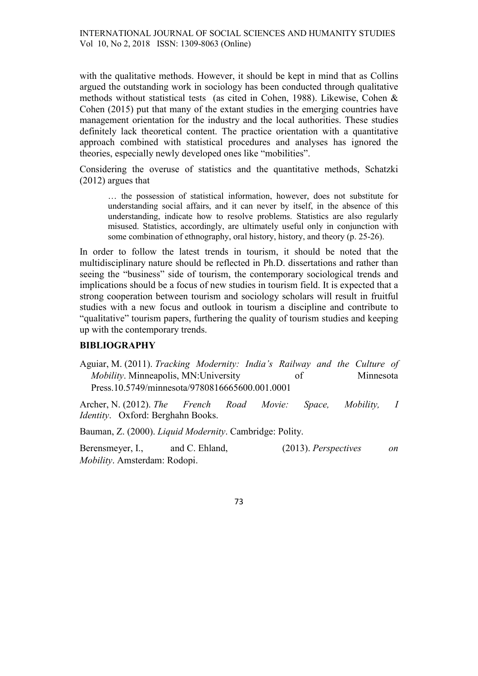with the qualitative methods. However, it should be kept in mind that as Collins argued the outstanding work in sociology has been conducted through qualitative methods without statistical tests (as cited in Cohen, 1988). Likewise, Cohen & Cohen (2015) put that many of the extant studies in the emerging countries have management orientation for the industry and the local authorities. These studies definitely lack theoretical content. The practice orientation with a quantitative approach combined with statistical procedures and analyses has ignored the theories, especially newly developed ones like "mobilities".

Considering the overuse of statistics and the quantitative methods, Schatzki (2012) argues that

… the possession of statistical information, however, does not substitute for understanding social affairs, and it can never by itself, in the absence of this understanding, indicate how to resolve problems. Statistics are also regularly misused. Statistics, accordingly, are ultimately useful only in conjunction with some combination of ethnography, oral history, history, and theory (p. 25-26).

In order to follow the latest trends in tourism, it should be noted that the multidisciplinary nature should be reflected in Ph.D. dissertations and rather than seeing the "business" side of tourism, the contemporary sociological trends and implications should be a focus of new studies in tourism field. It is expected that a strong cooperation between tourism and sociology scholars will result in fruitful studies with a new focus and outlook in tourism a discipline and contribute to "qualitative" tourism papers, furthering the quality of tourism studies and keeping up with the contemporary trends.

#### **BIBLIOGRAPHY**

Aguiar, M. (2011). Tracking Modernity: India's Railway and the Culture of Mobility. Minneapolis, MN:University of Minnesota Press.10.5749/minnesota/9780816665600.001.0001

Archer, N. (2012). The French Road Movie: Space, Mobility, I Identity. Oxford: Berghahn Books.

Bauman, Z. (2000). Liquid Modernity. Cambridge: Polity.

Berensmeyer, I., and C. Ehland, (2013). Perspectives on Mobility. Amsterdam: Rodopi.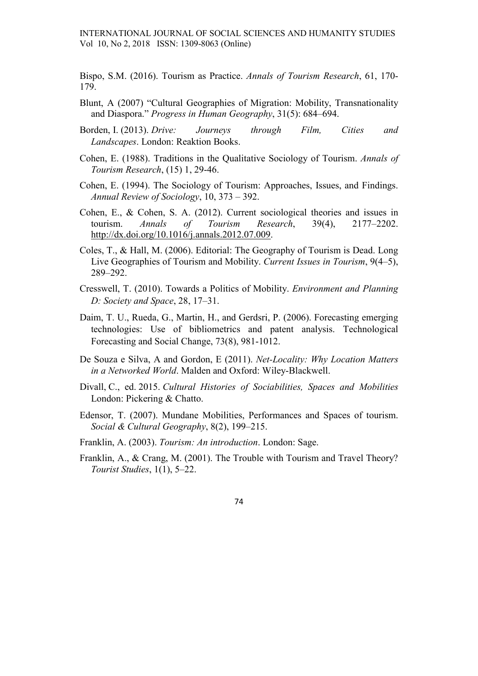Bispo, S.M. (2016). Tourism as Practice. Annals of Tourism Research, 61, 170- 179.

- Blunt, A (2007) "Cultural Geographies of Migration: Mobility, Transnationality and Diaspora." Progress in Human Geography, 31(5): 684–694.
- Borden, I. (2013). Drive: Journeys through Film, Cities and Landscapes. London: Reaktion Books.
- Cohen, E. (1988). Traditions in the Qualitative Sociology of Tourism. Annals of Tourism Research, (15) 1, 29-46.
- Cohen, E. (1994). The Sociology of Tourism: Approaches, Issues, and Findings. Annual Review of Sociology, 10, 373 – 392.
- Cohen, E., & Cohen, S. A. (2012). Current sociological theories and issues in tourism. Annals of Tourism Research, 39(4), 2177-2202. http://dx.doi.org/10.1016/j.annals.2012.07.009.
- Coles, T., & Hall, M. (2006). Editorial: The Geography of Tourism is Dead. Long Live Geographies of Tourism and Mobility. Current Issues in Tourism, 9(4–5), 289–292.
- Cresswell, T. (2010). Towards a Politics of Mobility. Environment and Planning D: Society and Space, 28, 17–31.
- Daim, T. U., Rueda, G., Martin, H., and Gerdsri, P. (2006). Forecasting emerging technologies: Use of bibliometrics and patent analysis. Technological Forecasting and Social Change, 73(8), 981-1012.
- De Souza e Silva, A and Gordon, E (2011). Net-Locality: Why Location Matters in a Networked World. Malden and Oxford: Wiley-Blackwell.
- Divall, C., ed. 2015. Cultural Histories of Sociabilities, Spaces and Mobilities London: Pickering & Chatto.
- Edensor, T. (2007). Mundane Mobilities, Performances and Spaces of tourism. Social & Cultural Geography, 8(2), 199–215.
- Franklin, A. (2003). Tourism: An introduction. London: Sage.
- Franklin, A., & Crang, M. (2001). The Trouble with Tourism and Travel Theory? Tourist Studies, 1(1), 5–22.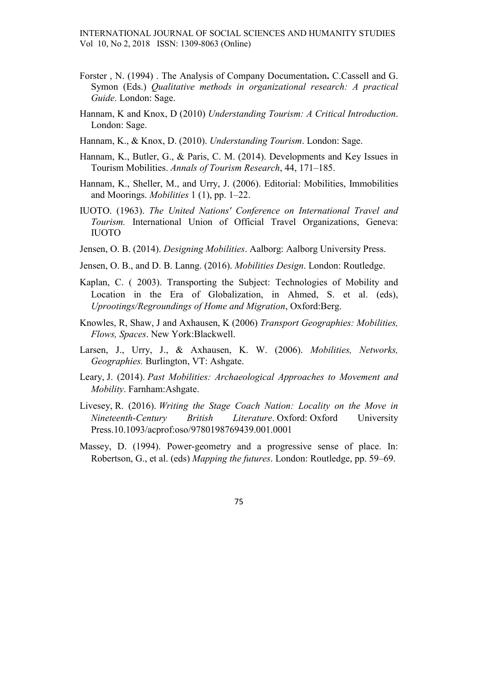- Forster , N. (1994) . The Analysis of Company Documentation. C.Cassell and G. Symon (Eds.) Qualitative methods in organizational research: A practical Guide. London: Sage.
- Hannam, K and Knox, D (2010) Understanding Tourism: A Critical Introduction. London: Sage.
- Hannam, K., & Knox, D. (2010). Understanding Tourism. London: Sage.
- Hannam, K., Butler, G., & Paris, C. M. (2014). Developments and Key Issues in Tourism Mobilities. Annals of Tourism Research, 44, 171–185.
- Hannam, K., Sheller, M., and Urry, J. (2006). Editorial: Mobilities, Immobilities and Moorings. Mobilities 1 (1), pp. 1–22.
- IUOTO. (1963). The United Nations' Conference on International Travel and Tourism. International Union of Official Travel Organizations, Geneva: IUOTO
- Jensen, O. B. (2014). Designing Mobilities. Aalborg: Aalborg University Press.
- Jensen, O. B., and D. B. Lanng. (2016). Mobilities Design. London: Routledge.
- Kaplan, C. ( 2003). Transporting the Subject: Technologies of Mobility and Location in the Era of Globalization, in Ahmed, S. et al. (eds), Uprootings/Regroundings of Home and Migration, Oxford:Berg.
- Knowles, R, Shaw, J and Axhausen, K (2006) Transport Geographies: Mobilities, Flows, Spaces. New York:Blackwell.
- Larsen, J., Urry, J., & Axhausen, K. W. (2006). Mobilities, Networks, Geographies. Burlington, VT: Ashgate.
- Leary, J. (2014). Past Mobilities: Archaeological Approaches to Movement and Mobility. Farnham:Ashgate.
- Livesey, R. (2016). Writing the Stage Coach Nation: Locality on the Move in Nineteenth-Century British Literature. Oxford: Oxford University Press.10.1093/acprof:oso/9780198769439.001.0001
- Massey, D. (1994). Power-geometry and a progressive sense of place. In: Robertson, G., et al. (eds) Mapping the futures. London: Routledge, pp. 59–69.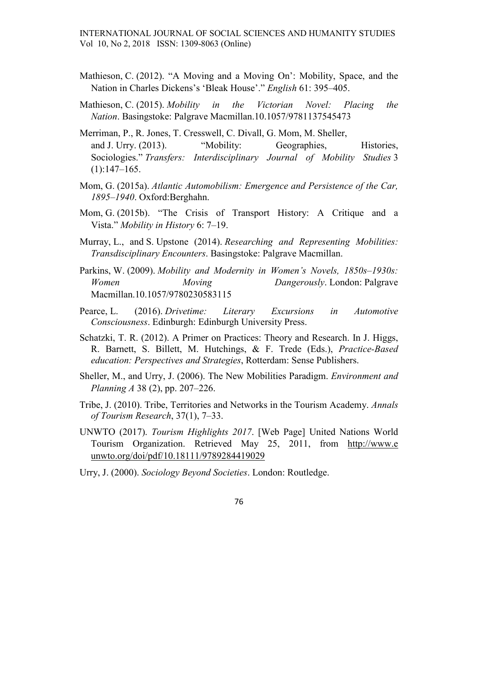- Mathieson, C. (2012). "A Moving and a Moving On': Mobility, Space, and the Nation in Charles Dickens's 'Bleak House'." English 61: 395–405.
- Mathieson, C. (2015). Mobility in the Victorian Novel: Placing the Nation. Basingstoke: Palgrave Macmillan.10.1057/9781137545473
- Merriman, P., R. Jones, T. Cresswell, C. Divall, G. Mom, M. Sheller, and J. Urry. (2013). "Mobility: Geographies, Histories, Sociologies." Transfers: Interdisciplinary Journal of Mobility Studies 3 (1):147–165.
- Mom, G. (2015a). Atlantic Automobilism: Emergence and Persistence of the Car, 1895–1940. Oxford:Berghahn.
- Mom, G. (2015b). "The Crisis of Transport History: A Critique and a Vista." Mobility in History 6: 7–19.
- Murray, L., and S. Upstone (2014). Researching and Representing Mobilities: Transdisciplinary Encounters. Basingstoke: Palgrave Macmillan.
- Parkins, W. (2009). Mobility and Modernity in Women's Novels, 1850s-1930s: Women Moving Dangerously. London: Palgrave Macmillan.10.1057/9780230583115
- Pearce, L. (2016). Drivetime: Literary Excursions in Automotive Consciousness. Edinburgh: Edinburgh University Press.
- Schatzki, T. R. (2012). A Primer on Practices: Theory and Research. In J. Higgs, R. Barnett, S. Billett, M. Hutchings, & F. Trede (Eds.), Practice-Based education: Perspectives and Strategies, Rotterdam: Sense Publishers.
- Sheller, M., and Urry, J. (2006). The New Mobilities Paradigm. Environment and Planning A 38 (2), pp. 207–226.
- Tribe, J. (2010). Tribe, Territories and Networks in the Tourism Academy. Annals of Tourism Research, 37(1), 7–33.
- UNWTO (2017). Tourism Highlights 2017. [Web Page] United Nations World Tourism Organization. Retrieved May 25, 2011, from http://www.e unwto.org/doi/pdf/10.18111/9789284419029

Urry, J. (2000). Sociology Beyond Societies. London: Routledge.